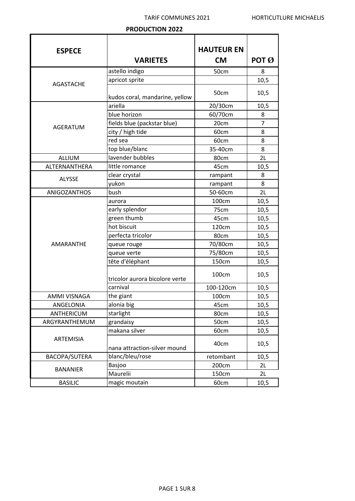## **PRODUCTION 2022**

| <b>ESPECE</b>       |                                | <b>HAUTEUR EN</b> |                              |
|---------------------|--------------------------------|-------------------|------------------------------|
|                     | <b>VARIETES</b>                | <b>CM</b>         | POT $\boldsymbol{\emptyset}$ |
|                     | astello indigo                 | 50cm              | 8                            |
| <b>AGASTACHE</b>    | apricot sprite                 |                   | 10,5                         |
|                     |                                | 50cm              | 10,5                         |
|                     | kudos coral, mandarine, yellow |                   |                              |
|                     | ariella                        | 20/30cm           | 10,5                         |
|                     | blue horizon                   | 60/70cm           | 8                            |
| AGERATUM            | fields blue (packstar blue)    | 20cm              | 7                            |
|                     | city / high tide               | 60cm              | 8                            |
|                     | red sea                        | 60cm              | 8                            |
|                     | top blue/blanc                 | 35-40cm           | 8                            |
| <b>ALLIUM</b>       | lavender bubbles               | 80cm              | 2L                           |
| ALTERNANTHERA       | little romance                 | 45cm              | 10,5                         |
| <b>ALYSSE</b>       | clear crystal                  | rampant           | 8                            |
|                     | yukon                          | rampant           | 8                            |
| <b>ANIGOZANTHOS</b> | bush                           | 50-60cm           | 2L                           |
|                     | aurora                         | 100cm             | 10,5                         |
|                     | early splendor                 | 75cm              | 10,5                         |
|                     | green thumb                    | 45cm              | 10,5                         |
|                     | hot biscuit                    | 120cm             | 10,5                         |
|                     | perfecta tricolor              | 80cm              | 10,5                         |
| <b>AMARANTHE</b>    | queue rouge                    | 70/80cm           | 10,5                         |
|                     | queue verte                    | 75/80cm           | 10,5                         |
|                     | tête d'éléphant                | 150cm             | 10,5                         |
|                     | tricolor aurora bicolore verte | 100cm             | 10,5                         |
|                     | carnival                       | 100-120cm         | 10,5                         |
| AMMI VISNAGA        | the giant                      | 100cm             | 10,5                         |
| ANGELONIA           | alonia big                     | 45cm              | 10,5                         |
| ANTHERICUM          | starlight                      | 80cm              | 10,5                         |
| ARGYRANTHEMUM       | grandaisy                      | 50cm              | 10,5                         |
|                     | makana silver                  | 60cm              | 10,5                         |
| ARTEMISIA           | nana attraction-silver mound   | 40cm              | 10,5                         |
| BACOPA/SUTERA       | blanc/bleu/rose                | retombant         | 10,5                         |
|                     | Basjoo                         | 200cm             | 2L                           |
| <b>BANANIER</b>     | Maurelii                       | 150cm             | 2L                           |
| <b>BASILIC</b>      | magic moutain                  | 60cm              | 10,5                         |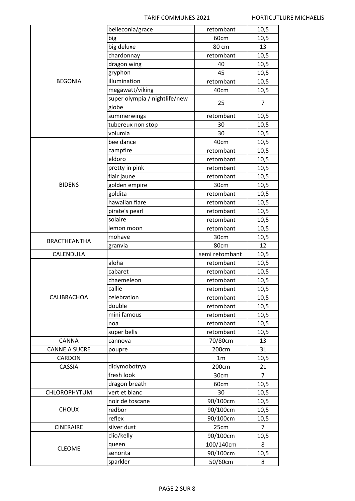|                      | belleconia/grace              | retombant           | 10,5           |
|----------------------|-------------------------------|---------------------|----------------|
|                      | big                           | 60cm                | 10,5           |
|                      | big deluxe                    | 80 cm               | 13             |
|                      | chardonnay                    | retombant           | 10,5           |
|                      | dragon wing                   | 40                  | 10,5           |
|                      | gryphon                       | 45                  | 10,5           |
| <b>BEGONIA</b>       | illumination                  | retombant           | 10,5           |
|                      | megawatt/viking               | 40cm                | 10,5           |
|                      | super olympia / nightlife/new | 25                  | 7              |
|                      | globe                         |                     |                |
|                      | summerwings                   | retombant           | 10,5           |
|                      | tubereux non stop             | 30                  | 10,5           |
|                      | volumia                       | 30                  | 10,5           |
|                      | bee dance                     | 40cm                | 10,5           |
|                      | campfire                      | retombant           | 10,5           |
|                      | eldoro                        | retombant           | 10,5           |
|                      | pretty in pink                | retombant           | 10,5           |
|                      | flair jaune                   | retombant           | 10,5           |
| <b>BIDENS</b>        | golden empire                 | 30cm                | 10,5           |
|                      | goldita                       | retombant           | 10,5           |
|                      | hawaiian flare                | retombant           | 10,5           |
|                      | pirate's pearl                | retombant           | 10,5           |
|                      | solaire                       | retombant           | 10,5           |
|                      | lemon moon                    | retombant           | 10,5           |
|                      | mohave                        | 30cm                | 10,5           |
| <b>BRACTHEANTHA</b>  | granvia                       | 80cm                | 12             |
|                      |                               |                     |                |
|                      |                               |                     |                |
| CALENDULA            |                               | semi retombant      | 10,5           |
|                      | aloha                         | retombant           | 10,5           |
|                      | cabaret                       | retombant           | 10,5           |
|                      | chaemeleon                    | retombant           | 10,5           |
|                      | callie                        | retombant           | 10,5           |
| CALIBRACHOA          | celebration                   | retombant           | 10,5           |
|                      | double                        | retombant           | 10,5           |
|                      | mini famous                   | retombant           | 10,5           |
|                      | noa                           | retombant           | 10,5           |
|                      | super bells                   | retombant           | 10,5           |
| CANNA                | cannova                       | 70/80cm             | 13             |
| <b>CANNE A SUCRE</b> | poupre                        | 200cm               | 3L             |
| CARDON               |                               | 1 <sub>m</sub>      | 10,5           |
| CASSIA               | didymobotrya                  | 200cm               | 2L             |
|                      | fresh look                    | 30cm                | $\overline{7}$ |
|                      | dragon breath                 | 60cm                | 10,5           |
| <b>CHLOROPHYTUM</b>  | vert et blanc                 | 30                  | 10,5           |
|                      | noir de toscane               | 90/100cm            | 10,5           |
| <b>CHOUX</b>         | redbor                        | 90/100cm            | 10,5           |
|                      | reflex                        | 90/100cm            | 10,5           |
| <b>CINERAIRE</b>     | silver dust                   | 25cm                | $\overline{7}$ |
|                      | clio/kelly                    | 90/100cm            | 10,5           |
| <b>CLEOME</b>        | queen                         | 100/140cm           | 8              |
|                      | senorita<br>sparkler          | 90/100cm<br>50/60cm | 10,5<br>8      |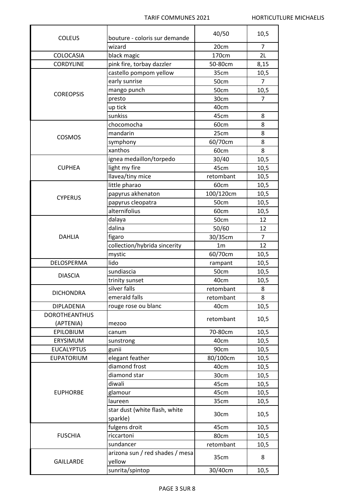$\overline{a}$ 

| <b>COLEUS</b>        | bouture - coloris sur demande            | 40/50          | 10,5           |
|----------------------|------------------------------------------|----------------|----------------|
|                      | wizard                                   | 20cm           | 7              |
| COLOCASIA            |                                          | 170cm          | 2L             |
| <b>CORDYLINE</b>     | black magic<br>pink fire, torbay dazzler | 50-80cm        |                |
|                      |                                          |                | 8,15           |
| <b>COREOPSIS</b>     | castello pompom yellow                   | 35cm           | 10,5           |
|                      | early sunrise                            | 50cm           | $\overline{7}$ |
|                      | mango punch                              | 50cm           | 10,5           |
|                      | presto                                   | 30cm           | 7              |
|                      | up tick                                  | 40cm           |                |
|                      | sunkiss                                  | 45cm           | 8              |
|                      | chocomocha                               | 60cm           | 8              |
| COSMOS               | mandarin                                 | 25cm           | 8              |
|                      | symphony                                 | 60/70cm        | 8              |
|                      | xanthos                                  | 60cm           | 8              |
|                      | ignea medaillon/torpedo                  | 30/40          | 10,5           |
| <b>CUPHEA</b>        | light my fire                            | 45cm           | 10,5           |
|                      | llavea/tiny mice                         | retombant      | 10,5           |
|                      | little pharao                            | 60cm           | 10,5           |
| <b>CYPERUS</b>       | papyrus akhenaton                        | 100/120cm      | 10,5           |
|                      | papyrus cleopatra                        | 50cm           | 10,5           |
|                      | alternifolius                            | 60cm           | 10,5           |
|                      | dalaya                                   | 50cm           | 12             |
|                      | dalina                                   | 50/60          | 12             |
| <b>DAHLIA</b>        | figaro                                   | 30/35cm        | $\overline{7}$ |
|                      | collection/hybrida sincerity             | 1 <sub>m</sub> | 12             |
|                      | mystic                                   | 60/70cm        | 10,5           |
| DELOSPERMA           | lido                                     | rampant        | 10,5           |
|                      | sundiascia                               | 50cm           | 10,5           |
| <b>DIASCIA</b>       | trinity sunset                           | 40cm           | 10,5           |
|                      | silver falls                             | retombant      | 8              |
| <b>DICHONDRA</b>     | emerald falls                            | retombant      | 8              |
| DIPLADENIA           | rouge rose ou blanc                      | 40cm           | 10,5           |
| <b>DOROTHEANTHUS</b> |                                          |                |                |
| (APTENIA)            | mezoo                                    | retombant      | 10,5           |
| EPILOBIUM            | canum                                    | 70-80cm        | 10,5           |
| ERYSIMUM             | sunstrong                                | 40cm           | 10,5           |
| <b>EUCALYPTUS</b>    | gunii                                    | 90cm           | 10,5           |
| EUPATORIUM           | elegant feather                          | 80/100cm       | 10,5           |
|                      | diamond frost                            | 40cm           | 10,5           |
|                      | diamond star                             | 30cm           | 10,5           |
|                      | diwali                                   | 45cm           | 10,5           |
| <b>EUPHORBE</b>      | glamour                                  | 45cm           | 10,5           |
|                      | laureen                                  | 35cm           | 10,5           |
|                      | star dust (white flash, white            |                |                |
|                      | sparkle)                                 | 30cm           | 10,5           |
|                      | fulgens droit                            | 45cm           | 10,5           |
| <b>FUSCHIA</b>       | riccartoni                               | 80cm           | 10,5           |
|                      | sundancer                                | retombant      | 10,5           |
|                      | arizona sun / red shades / mesa          |                |                |
| <b>GAILLARDE</b>     | yellow                                   | 35cm           | 8              |
|                      | sunrita/spintop                          | 30/40cm        | 10,5           |
|                      |                                          |                |                |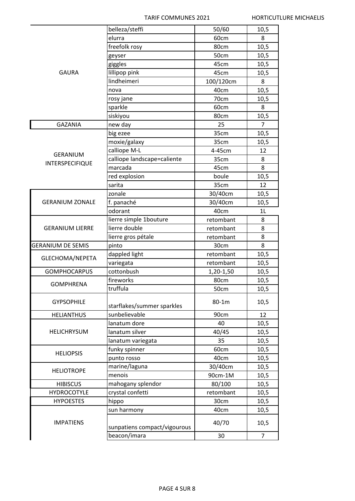|                          | belleza/steffi               | 50/60     | 10,5           |
|--------------------------|------------------------------|-----------|----------------|
| <b>GAURA</b>             | elurra                       | 60cm      | 8              |
|                          | freefolk rosy                | 80cm      | 10,5           |
|                          | geyser                       | 50cm      | 10,5           |
|                          | giggles                      | 45cm      | 10,5           |
|                          | lillipop pink                | 45cm      | 10,5           |
|                          | lindheimeri                  | 100/120cm | 8              |
|                          | nova                         | 40cm      | 10,5           |
|                          | rosy jane                    | 70cm      | 10,5           |
|                          | sparkle                      | 60cm      | 8              |
|                          | siskiyou                     | 80cm      | 10,5           |
| <b>GAZANIA</b>           | new day                      | 25        | $\overline{7}$ |
|                          | big ezee                     | 35cm      | 10,5           |
|                          | moxie/galaxy                 | 35cm      | 10,5           |
|                          | calliope M-L                 | 4-45cm    | 12             |
| <b>GERANIUM</b>          | calliope landscape=caliente  | 35cm      | 8              |
| <b>INTERSPECIFIQUE</b>   | marcada                      | 45cm      | 8              |
|                          | red explosion                | boule     | 10,5           |
|                          | sarita                       | 35cm      | 12             |
|                          | zonale                       | 30/40cm   | 10,5           |
| <b>GERANIUM ZONALE</b>   | f. panaché                   | 30/40cm   | 10,5           |
|                          | odorant                      | 40cm      | 1 <sub>L</sub> |
|                          | lierre simple 1bouture       | retombant | 8              |
| <b>GERANIUM LIERRE</b>   | lierre double                | retombant | 8              |
|                          | lierre gros pétale           | retombant | 8              |
| <b>GERANIUM DE SEMIS</b> | pinto                        | 30cm      | 8              |
|                          | dappled light                | retombant | 10,5           |
| GLECHOMA/NEPETA          | variegata                    | retombant | 10,5           |
| <b>GOMPHOCARPUS</b>      | cottonbush                   | 1,20-1,50 | 10,5           |
|                          | fireworks                    | 80cm      | 10,5           |
| <b>GOMPHRENA</b>         | truffula                     | 50cm      | 10,5           |
|                          |                              |           |                |
| <b>GYPSOPHILE</b>        | starflakes/summer sparkles   | 80-1m     | 10,5           |
| <b>HELIANTHUS</b>        | sunbelievable                | 90cm      | 12             |
|                          | lanatum dore                 | 40        | 10,5           |
| <b>HELICHRYSUM</b>       | lanatum silver               | 40/45     | 10,5           |
|                          | lanatum variegata            | 35        | 10,5           |
|                          | funky spinner                | 60cm      | 10,5           |
| <b>HELIOPSIS</b>         | punto rosso                  | 40cm      | 10,5           |
|                          | marine/laguna                | 30/40cm   | 10,5           |
| <b>HELIOTROPE</b>        | menois                       | 90cm-1M   | 10,5           |
| <b>HIBISCUS</b>          | mahogany splendor            | 80/100    | 10,5           |
| <b>HYDROCOTYLE</b>       | crystal confetti             | retombant | 10,5           |
| <b>HYPOESTES</b>         | hippo                        | 30cm      | 10,5           |
|                          | sun harmony                  | 40cm      | 10,5           |
| <b>IMPATIENS</b>         | sunpatiens compact/vigourous | 40/70     | 10,5           |
|                          | beacon/imara                 | 30        | 7              |
|                          |                              |           |                |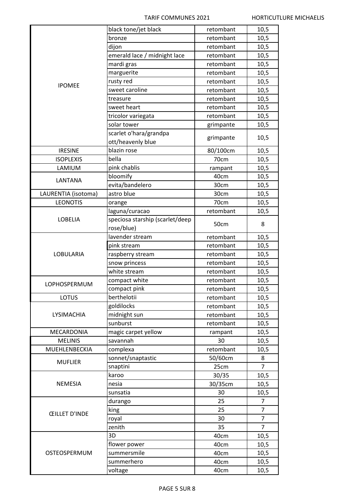|                      | black tone/jet black            | retombant | 10,5           |
|----------------------|---------------------------------|-----------|----------------|
|                      | bronze                          | retombant | 10,5           |
|                      | dijon                           | retombant | 10,5           |
|                      | emerald lace / midnight lace    | retombant | 10,5           |
| <b>IPOMEE</b>        | mardi gras                      | retombant | 10,5           |
|                      | marguerite                      | retombant | 10,5           |
|                      | rusty red                       | retombant | 10,5           |
|                      | sweet caroline                  | retombant | 10,5           |
|                      | treasure                        | retombant | 10,5           |
|                      | sweet heart                     | retombant | 10,5           |
|                      | tricolor variegata              | retombant | 10,5           |
|                      | solar tower                     | grimpante | 10,5           |
|                      | scarlet o'hara/grandpa          |           |                |
|                      | ott/heavenly blue               | grimpante | 10,5           |
| <b>IRESINE</b>       | blazin rose                     | 80/100cm  | 10,5           |
| <b>ISOPLEXIS</b>     | bella                           | 70cm      | 10,5           |
| LAMIUM               | pink chablis                    | rampant   | 10,5           |
|                      | bloomify                        | 40cm      | 10,5           |
| LANTANA              | evita/bandelero                 | 30cm      | 10,5           |
| LAURENTIA (isotoma)  | astro blue                      | 30cm      | 10,5           |
| <b>LEONOTIS</b>      | orange                          | 70cm      | 10,5           |
|                      | laguna/curacao                  | retombant | 10,5           |
| <b>LOBELIA</b>       | speciosa starship (scarlet/deep |           |                |
|                      | rose/blue)                      | 50cm      | 8              |
|                      | lavender stream                 | retombant | 10,5           |
|                      | pink stream                     | retombant | 10,5           |
| LOBULARIA            | raspberry stream                | retombant | 10,5           |
|                      | snow princess                   | retombant | 10,5           |
|                      | white stream                    | retombant | 10,5           |
|                      | compact white                   | retombant | 10,5           |
| <b>LOPHOSPERMUM</b>  | compact pink                    | retombant | 10,5           |
| <b>LOTUS</b>         | berthelotii                     | retombant | 10,5           |
|                      | goldilocks                      | retombant | 10,5           |
| LYSIMACHIA           | midnight sun                    | retombant | 10,5           |
|                      | sunburst                        | retombant | 10,5           |
| MECARDONIA           | magic carpet yellow             | rampant   | 10,5           |
| <b>MELINIS</b>       | savannah                        | 30        | 10,5           |
| MUEHLENBECKIA        | complexa                        | retombant | 10,5           |
|                      | sonnet/snaptastic               | 50/60cm   | 8              |
| <b>MUFLIER</b>       | snaptini                        | 25cm      | $\overline{7}$ |
|                      | karoo                           | 30/35     | 10,5           |
| <b>NEMESIA</b>       | nesia                           | 30/35cm   | 10,5           |
|                      | sunsatia                        | 30        | 10,5           |
|                      | durango                         | 25        | $\overline{7}$ |
|                      | king                            | 25        | 7              |
| <b>ŒILLET D'INDE</b> | royal                           | 30        | $\overline{7}$ |
|                      | zenith                          | 35        | 7              |
|                      | 3D                              | 40cm      | 10,5           |
|                      | flower power                    | 40cm      | 10,5           |
| OSTEOSPERMUM         | summersmile                     | 40cm      | 10,5           |
|                      | summerhero                      | 40cm      | 10,5           |
|                      | voltage                         | 40cm      | 10,5           |
|                      |                                 |           |                |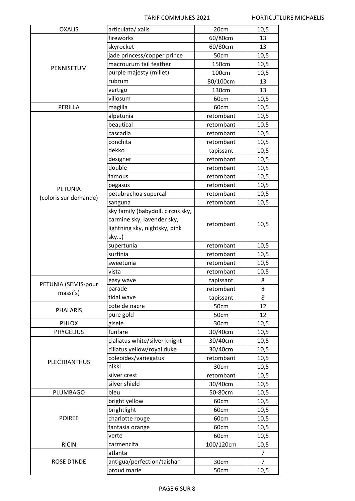| <b>OXALIS</b>         | articulata/ xalis                 | 20cm      | 10,5           |
|-----------------------|-----------------------------------|-----------|----------------|
| PENNISETUM            | fireworks                         | 60/80cm   | 13             |
|                       | skyrocket                         | 60/80cm   | 13             |
|                       | jade princess/copper prince       | 50cm      | 10,5           |
|                       | macrourum tail feather            | 150cm     | 10,5           |
|                       | purple majesty (millet)           | 100cm     | 10,5           |
|                       | rubrum                            | 80/100cm  | 13             |
|                       | vertigo                           | 130cm     | 13             |
|                       | villosum                          | 60cm      | 10,5           |
| PERILLA               | magilla                           | 60cm      | 10,5           |
|                       | alpetunia                         | retombant | 10,5           |
|                       | beautical                         | retombant | 10,5           |
|                       | cascadia                          | retombant | 10,5           |
|                       | conchita                          | retombant | 10,5           |
|                       | dekko                             | tapissant | 10,5           |
|                       | designer                          | retombant | 10,5           |
|                       | double                            | retombant | 10,5           |
|                       | famous                            | retombant | 10,5           |
|                       | pegasus                           | retombant | 10,5           |
| <b>PETUNIA</b>        | petubrachoa supercal              | retombant | 10,5           |
| (coloris sur demande) | sanguna                           | retombant | 10,5           |
|                       | sky family (babydoll, circus sky, |           |                |
|                       | carmine sky, lavender sky,        |           |                |
|                       | lightning sky, nightsky, pink     | retombant | 10,5           |
|                       | sky)                              |           |                |
|                       | supertunia                        | retombant | 10,5           |
|                       | surfinia                          | retombant | 10,5           |
|                       | sweetunia                         | retombant | 10,5           |
|                       | vista                             | retombant | 10,5           |
|                       | easy wave                         | tapissant | 8              |
| PETUNIA (SEMIS-pour   | parade                            | retombant | 8              |
| massifs)              | tidal wave                        | tapissant | 8              |
|                       | cote de nacre                     | 50cm      | 12             |
| <b>PHALARIS</b>       | pure gold                         | 50cm      | 12             |
| PHLOX                 | gisele                            | 30cm      | 10,5           |
| <b>PHYGELIUS</b>      | funfare                           | 30/40cm   | 10,5           |
|                       | cialiatus white/silver knight     | 30/40cm   | 10,5           |
|                       | ciliatus yellow/royal duke        | 30/40cm   | 10,5           |
|                       | coleoïdes/variegatus              | retombant | 10,5           |
| <b>PLECTRANTHUS</b>   | nikki                             | 30cm      | 10,5           |
|                       | silver crest                      | retombant | 10,5           |
|                       | silver shield                     | 30/40cm   | 10,5           |
| PLUMBAGO              | bleu                              | 50-80cm   | 10,5           |
|                       | bright yellow                     | 60cm      | 10,5           |
|                       | brightlight                       | 60cm      | 10,5           |
| <b>POIREE</b>         | charlotte rouge                   | 60cm      | 10,5           |
|                       | fantasia orange                   | 60cm      | 10,5           |
|                       | verte                             | 60cm      | 10,5           |
| <b>RICIN</b>          | carmencita                        | 100/120cm | 10,5           |
|                       | atlanta                           |           | $\overline{7}$ |
| <b>ROSE D'INDE</b>    | antigua/perfection/taishan        | 30cm      | $\overline{7}$ |
|                       | proud marie                       | 50cm      |                |
|                       |                                   |           | 10,5           |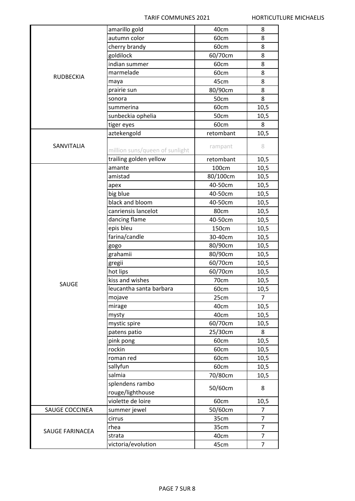|                        | amarillo gold                       | 40cm      | 8              |
|------------------------|-------------------------------------|-----------|----------------|
| <b>RUDBECKIA</b>       | autumn color                        | 60cm      | 8              |
|                        | cherry brandy                       | 60cm      | 8              |
|                        | goldilock                           | 60/70cm   | 8              |
|                        | indian summer                       | 60cm      | 8              |
|                        | marmelade                           | 60cm      | 8              |
|                        | maya                                | 45cm      | 8              |
|                        | prairie sun                         | 80/90cm   | 8              |
|                        | sonora                              | 50cm      | 8              |
|                        | summerina                           | 60cm      | 10,5           |
|                        | sunbeckia ophelia                   | 50cm      | 10,5           |
|                        | tiger eyes                          | 60cm      | 8              |
|                        | aztekengold                         | retombant | 10,5           |
| SANVITALIA             | million suns/queen of sunlight      | rampant   | 8              |
|                        | trailing golden yellow              | retombant | 10,5           |
|                        | amante                              | 100cm     | 10,5           |
|                        | amistad                             | 80/100cm  | 10,5           |
|                        | apex                                | 40-50cm   | 10,5           |
|                        | big blue                            | 40-50cm   | 10,5           |
|                        | black and bloom                     | 40-50cm   | 10,5           |
|                        | canriensis lancelot                 | 80cm      | 10,5           |
|                        | dancing flame                       | 40-50cm   | 10,5           |
|                        | epis bleu                           | 150cm     | 10,5           |
|                        | farina/candle                       | 30-40cm   | 10,5           |
|                        | gogo                                | 80/90cm   | 10,5           |
|                        | grahamii                            | 80/90cm   | 10,5           |
|                        | gregii                              | 60/70cm   | 10,5           |
|                        | hot lips                            | 60/70cm   | 10,5           |
| SAUGE                  | kiss and wishes                     | 70cm      | 10,5           |
|                        | leucantha santa barbara             | 60cm      | 10,5           |
|                        | mojave                              | 25cm      | $\overline{7}$ |
|                        | mirage                              | 40cm      | 10,5           |
|                        | mysty                               | 40cm      | 10,5           |
|                        | mystic spire                        | 60/70cm   | 10,5           |
|                        | patens patio                        | 25/30cm   | 8              |
|                        | pink pong                           | 60cm      | 10,5           |
|                        | rockin                              | 60cm      | 10,5           |
|                        | roman red                           | 60cm      | 10,5           |
|                        | sallyfun                            | 60cm      | 10,5           |
|                        | salmia                              | 70/80cm   | 10,5           |
|                        | splendens rambo<br>rouge/lighthouse | 50/60cm   | 8              |
|                        | violette de loire                   | 60cm      | 10,5           |
| SAUGE COCCINEA         | summer jewel                        | 50/60cm   | 7              |
|                        | cirrus                              | 35cm      | 7              |
| <b>SAUGE FARINACEA</b> | rhea                                | 35cm      | $\overline{7}$ |
|                        | strata                              | 40cm      | 7              |
|                        | victoria/evolution                  | 45cm      | $\overline{7}$ |